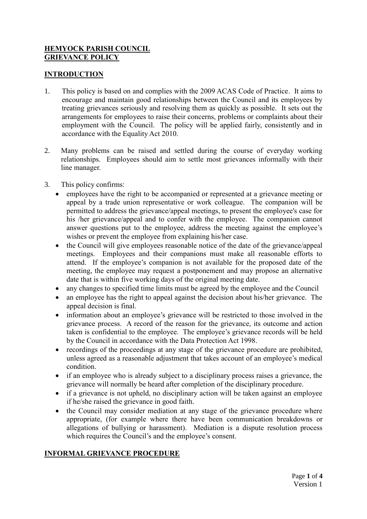## **HEMYOCK PARISH COUNCIL GRIEVANCE POLICY**

#### **INTRODUCTION**

- 1. This policy is based on and complies with the 2009 ACAS Code of Practice. It aims to encourage and maintain good relationships between the Council and its employees by treating grievances seriously and resolving them as quickly as possible. It sets out the arrangements for employees to raise their concerns, problems or complaints about their employment with the Council. The policy will be applied fairly, consistently and in accordance with the Equality Act 2010.
- 2. Many problems can be raised and settled during the course of everyday working relationships. Employees should aim to settle most grievances informally with their line manager.
- 3. This policy confirms:
	- employees have the right to be accompanied or represented at a grievance meeting or appeal by a trade union representative or work colleague. The companion will be permitted to address the grievance/appeal meetings, to present the employee's case for his /her grievance/appeal and to confer with the employee. The companion cannot answer questions put to the employee, address the meeting against the employee's wishes or prevent the employee from explaining his/her case.
	- the Council will give employees reasonable notice of the date of the grievance/appeal meetings. Employees and their companions must make all reasonable efforts to attend. If the employee's companion is not available for the proposed date of the meeting, the employee may request a postponement and may propose an alternative date that is within five working days of the original meeting date.
	- any changes to specified time limits must be agreed by the employee and the Council
	- an employee has the right to appeal against the decision about his/her grievance. The appeal decision is final.
	- information about an employee's grievance will be restricted to those involved in the grievance process. A record of the reason for the grievance, its outcome and action taken is confidential to the employee. The employee's grievance records will be held by the Council in accordance with the Data Protection Act 1998.
	- recordings of the proceedings at any stage of the grievance procedure are prohibited, unless agreed as a reasonable adjustment that takes account of an employee's medical condition.
	- if an employee who is already subject to a disciplinary process raises a grievance, the grievance will normally be heard after completion of the disciplinary procedure.
	- if a grievance is not upheld, no disciplinary action will be taken against an employee if he/she raised the grievance in good faith.
	- the Council may consider mediation at any stage of the grievance procedure where appropriate, (for example where there have been communication breakdowns or allegations of bullying or harassment). Mediation is a dispute resolution process which requires the Council's and the employee's consent.

## **INFORMAL GRIEVANCE PROCEDURE**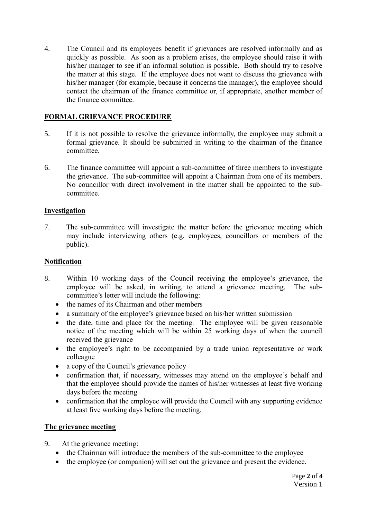4. The Council and its employees benefit if grievances are resolved informally and as quickly as possible. As soon as a problem arises, the employee should raise it with his/her manager to see if an informal solution is possible. Both should try to resolve the matter at this stage. If the employee does not want to discuss the grievance with his/her manager (for example, because it concerns the manager), the employee should contact the chairman of the finance committee or, if appropriate, another member of the finance committee.

# **FORMAL GRIEVANCE PROCEDURE**

- 5. If it is not possible to resolve the grievance informally, the employee may submit a formal grievance. It should be submitted in writing to the chairman of the finance committee.
- 6. The finance committee will appoint a sub-committee of three members to investigate the grievance. The sub-committee will appoint a Chairman from one of its members. No councillor with direct involvement in the matter shall be appointed to the subcommittee.

## **Investigation**

7. The sub-committee will investigate the matter before the grievance meeting which may include interviewing others (e.g. employees, councillors or members of the public).

#### **Notification**

- 8. Within 10 working days of the Council receiving the employee's grievance, the employee will be asked, in writing, to attend a grievance meeting. The subcommittee's letter will include the following:
	- the names of its Chairman and other members
	- a summary of the employee's grievance based on his/her written submission
	- the date, time and place for the meeting. The employee will be given reasonable notice of the meeting which will be within 25 working days of when the council received the grievance
	- the employee's right to be accompanied by a trade union representative or work colleague
	- a copy of the Council's grievance policy
	- confirmation that, if necessary, witnesses may attend on the employee's behalf and that the employee should provide the names of his/her witnesses at least five working days before the meeting
	- confirmation that the employee will provide the Council with any supporting evidence at least five working days before the meeting.

## **The grievance meeting**

- 9. At the grievance meeting:
	- the Chairman will introduce the members of the sub-committee to the employee
	- the employee (or companion) will set out the grievance and present the evidence.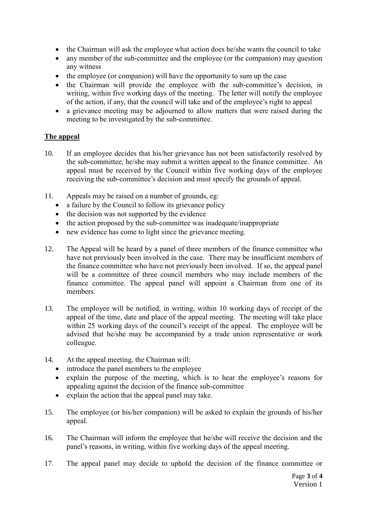- the Chairman will ask the employee what action does he/she wants the council to take
- any member of the sub-committee and the employee (or the companion) may question any witness
- the employee (or companion) will have the opportunity to sum up the case
- the Chairman will provide the employee with the sub-committee's decision, in writing, within five working days of the meeting. The letter will notify the employee of the action, if any, that the council will take and of the employee's right to appeal
- a grievance meeting may be adjourned to allow matters that were raised during the meeting to be investigated by the sub-committee.

## **The appeal**

- 10. If an employee decides that his/her grievance has not been satisfactorily resolved by the sub-committee, he/she may submit a written appeal to the finance committee. An appeal must be received by the Council within five working days of the employee receiving the sub-committee's decision and must specify the grounds of appeal.
- 11. Appeals may be raised on a number of grounds, eg:
	- a failure by the Council to follow its grievance policy
	- the decision was not supported by the evidence
	- the action proposed by the sub-committee was inadequate/inappropriate
	- new evidence has come to light since the grievance meeting.
- 12. The Appeal will be heard by a panel of three members of the finance committee who have not previously been involved in the case. There may be insufficient members of the finance committee who have not previously been involved. If so, the appeal panel will be a committee of three council members who may include members of the finance committee. The appeal panel will appoint a Chairman from one of its members.
- 13. The employee will be notified, in writing, within 10 working days of receipt of the appeal of the time, date and place of the appeal meeting. The meeting will take place within 25 working days of the council's receipt of the appeal. The employee will be advised that he/she may be accompanied by a trade union representative or work colleague.
- 14. At the appeal meeting, the Chairman will:
	- introduce the panel members to the employee
	- explain the purpose of the meeting, which is to hear the employee's reasons for appealing against the decision of the finance sub-committee
	- explain the action that the appeal panel may take.
- 15. The employee (or his/her companion) will be asked to explain the grounds of his/her appeal.
- 16. The Chairman will inform the employee that he/she will receive the decision and the panel's reasons, in writing, within five working days of the appeal meeting.
- 17. The appeal panel may decide to uphold the decision of the finance committee or